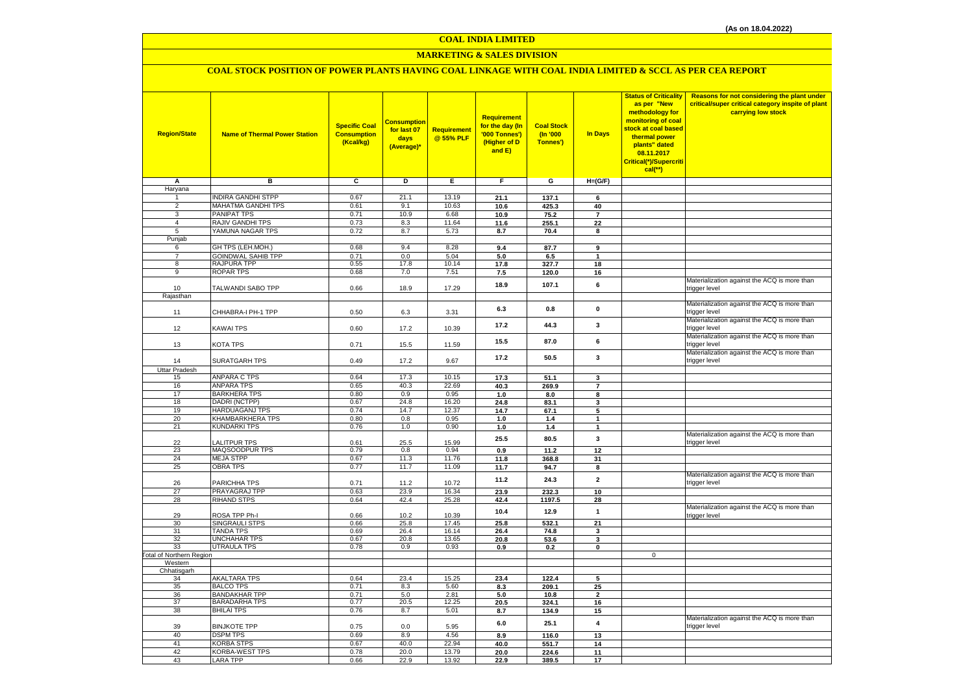# **MARKETING & SALES DIVISION**

## **COAL STOCK POSITION OF POWER PLANTS HAVING COAL LINKAGE WITH COAL INDIA LIMITED & SCCL AS PER CEA REPORT**

| <b>Region/State</b>              | <b>Name of Thermal Power Station</b>         | <b>Specific Coal</b><br><b>Consumption</b><br>(Kcal/kg) | <mark>Consumption</mark><br>for last 07<br>days<br>(Average)* | Requirement<br>@ 55% PLF | Requirement<br>for the day (In<br>'000 Tonnes')<br>(Higher of D<br>and E) | <b>Coal Stock</b><br>(n'000)<br>Tonnes') | In Days                 | <b>Status of Criticality</b><br>as per "New<br>methodology for<br>monitoring of coal<br>stock at coal based<br>thermal power<br>plants" dated<br>08.11.2017<br>Critical(*)/Supercriti<br>$cal$ (**) | Reasons for not considering the plant under<br>critical/super critical category inspite of plant<br>carrying low stock |
|----------------------------------|----------------------------------------------|---------------------------------------------------------|---------------------------------------------------------------|--------------------------|---------------------------------------------------------------------------|------------------------------------------|-------------------------|-----------------------------------------------------------------------------------------------------------------------------------------------------------------------------------------------------|------------------------------------------------------------------------------------------------------------------------|
| Α                                | в                                            | c                                                       | D                                                             | Е                        | F.                                                                        | G                                        | $H=(G/F)$               |                                                                                                                                                                                                     |                                                                                                                        |
| Haryana                          |                                              |                                                         |                                                               |                          |                                                                           |                                          |                         |                                                                                                                                                                                                     |                                                                                                                        |
| 1                                | <b>INDIRA GANDHI STPP</b>                    | 0.67                                                    | 21.1                                                          | 13.19                    | 21.1                                                                      | 137.1                                    | 6                       |                                                                                                                                                                                                     |                                                                                                                        |
| $\overline{2}$                   | MAHATMA GANDHI TPS                           | 0.61                                                    | 9.1                                                           | 10.63                    | 10.6                                                                      | 425.3                                    | 40                      |                                                                                                                                                                                                     |                                                                                                                        |
| $\overline{3}$<br>$\overline{4}$ | PANIPAT TPS<br>RAJIV GANDHI TPS              | 0.71<br>0.73                                            | 10.9<br>8.3                                                   | 6.68<br>11.64            | 10.9                                                                      | 75.2                                     | $\overline{\mathbf{r}}$ |                                                                                                                                                                                                     |                                                                                                                        |
| 5                                | YAMUNA NAGAR TPS                             | 0.72                                                    | 8.7                                                           | 5.73                     | 11.6                                                                      | 255.1<br>70.4                            | 22<br>8                 |                                                                                                                                                                                                     |                                                                                                                        |
| Punjab                           |                                              |                                                         |                                                               |                          | 8.7                                                                       |                                          |                         |                                                                                                                                                                                                     |                                                                                                                        |
| 6                                | GH TPS (LEH.MOH.)                            | 0.68                                                    | 9.4                                                           | 8.28                     | 9.4                                                                       | 87.7                                     | 9                       |                                                                                                                                                                                                     |                                                                                                                        |
| $\overline{7}$                   | <b>GOINDWAL SAHIB TPP</b>                    | 0.71                                                    | 0.0                                                           | 5.04                     | 5.0                                                                       | 6.5                                      | $\blacktriangleleft$    |                                                                                                                                                                                                     |                                                                                                                        |
| 8                                | RAJPURA TPP                                  | 0.55                                                    | 17.8                                                          | 10.14                    | 17.8                                                                      | 327.7                                    | 18                      |                                                                                                                                                                                                     |                                                                                                                        |
| $\overline{9}$                   | <b>ROPAR TPS</b>                             | 0.68                                                    | 7.0                                                           | 7.51                     | 7.5                                                                       | 120.0                                    | 16                      |                                                                                                                                                                                                     |                                                                                                                        |
|                                  |                                              |                                                         |                                                               |                          | 18.9                                                                      | 107.1                                    | 6                       |                                                                                                                                                                                                     | Materialization against the ACQ is more than                                                                           |
| 10                               | TALWANDI SABO TPP                            | 0.66                                                    | 18.9                                                          | 17.29                    |                                                                           |                                          |                         |                                                                                                                                                                                                     | trigger level                                                                                                          |
| Rajasthan                        |                                              |                                                         |                                                               |                          |                                                                           |                                          |                         |                                                                                                                                                                                                     | Materialization against the ACQ is more than                                                                           |
|                                  | CHHABRA-I PH-1 TPP                           | 0.50                                                    | 6.3                                                           |                          | 6.3                                                                       | 0.8                                      | $\mathbf 0$             |                                                                                                                                                                                                     | trigger level                                                                                                          |
| 11                               |                                              |                                                         |                                                               | 3.31                     |                                                                           |                                          |                         |                                                                                                                                                                                                     | Materialization against the ACQ is more than                                                                           |
| 12                               | KAWAI TPS                                    | 0.60                                                    | 17.2                                                          | 10.39                    | 17.2                                                                      | 44.3                                     | 3                       |                                                                                                                                                                                                     | trigger level                                                                                                          |
|                                  |                                              |                                                         |                                                               |                          |                                                                           |                                          |                         |                                                                                                                                                                                                     | Materialization against the ACQ is more than                                                                           |
| 13                               | KOTA TPS                                     | 0.71                                                    | 15.5                                                          | 11.59                    | 15.5                                                                      | 87.0                                     | 6                       |                                                                                                                                                                                                     | trigger level                                                                                                          |
|                                  |                                              |                                                         |                                                               |                          | 17.2                                                                      | 50.5                                     | 3                       |                                                                                                                                                                                                     | Materialization against the ACQ is more than                                                                           |
| 14                               | <b>SURATGARH TPS</b>                         | 0.49                                                    | 17.2                                                          | 9.67                     |                                                                           |                                          |                         |                                                                                                                                                                                                     | trigger level                                                                                                          |
| <b>Uttar Pradesh</b>             |                                              |                                                         |                                                               |                          |                                                                           |                                          |                         |                                                                                                                                                                                                     |                                                                                                                        |
| 15                               | <b>ANPARA C TPS</b>                          | 0.64                                                    | 17.3                                                          | 10.15                    | 17.3                                                                      | 51.1                                     | 3                       |                                                                                                                                                                                                     |                                                                                                                        |
| 16<br>17                         | <b>ANPARA TPS</b><br><b>BARKHERA TPS</b>     | 0.65<br>0.80                                            | 40.3<br>0.9                                                   | 22.69<br>0.95            | 40.3<br>1.0                                                               | 269.9                                    | $\overline{7}$          |                                                                                                                                                                                                     |                                                                                                                        |
| 18                               | DADRI (NCTPP)                                | 0.67                                                    | 24.8                                                          | 16.20                    | 24.8                                                                      | 8.0<br>83.1                              | 8<br>3                  |                                                                                                                                                                                                     |                                                                                                                        |
| 19                               | HARDUAGANJ TPS                               | 0.74                                                    | 14.7                                                          | 12.37                    | 14.7                                                                      | 67.1                                     | 5                       |                                                                                                                                                                                                     |                                                                                                                        |
| 20                               | KHAMBARKHERA TPS                             | 0.80                                                    | 0.8                                                           | 0.95                     | 1.0                                                                       | 1.4                                      | $\mathbf{1}$            |                                                                                                                                                                                                     |                                                                                                                        |
| 21                               | <b>KUNDARKI TPS</b>                          | 0.76                                                    | 1.0                                                           | 0.90                     | 1.0                                                                       | 1.4                                      | $\mathbf{1}$            |                                                                                                                                                                                                     |                                                                                                                        |
|                                  |                                              |                                                         |                                                               |                          | 25.5                                                                      | 80.5                                     | 3                       |                                                                                                                                                                                                     | Materialization against the ACQ is more than                                                                           |
| 22                               | <b>ALITPUR TPS</b>                           | 0.61                                                    | 25.5                                                          | 15.99                    |                                                                           |                                          |                         |                                                                                                                                                                                                     | trigger level                                                                                                          |
| 23                               | MAQSOODPUR TPS                               | 0.79                                                    | 0.8                                                           | 0.94                     | 0.9                                                                       | 11.2                                     | 12                      |                                                                                                                                                                                                     |                                                                                                                        |
| 24                               | <b>MEJA STPP</b>                             | 0.67<br>0.77                                            | 11.3                                                          | 11.76                    | 11.8                                                                      | 368.8                                    | 31                      |                                                                                                                                                                                                     |                                                                                                                        |
| 25                               | <b>OBRA TPS</b>                              |                                                         | 11.7                                                          | 11.09                    | 11.7                                                                      | 94.7                                     | 8                       |                                                                                                                                                                                                     | Materialization against the ACQ is more than                                                                           |
| 26                               | PARICHHA TPS                                 | 0.71                                                    | 11.2                                                          | 10.72                    | 11.2                                                                      | 24.3                                     | $\mathbf{2}$            |                                                                                                                                                                                                     | trigger level                                                                                                          |
| 27                               | PRAYAGRAJ TPP                                | 0.63                                                    | 23.9                                                          | 16.34                    | 23.9                                                                      | 232.3                                    | 10                      |                                                                                                                                                                                                     |                                                                                                                        |
| 28                               | <b>RIHAND STPS</b>                           | 0.64                                                    | 42.4                                                          | 25.28                    | 42.4                                                                      | 1197.5                                   | 28                      |                                                                                                                                                                                                     |                                                                                                                        |
|                                  |                                              |                                                         |                                                               |                          | 10.4                                                                      | 12.9                                     | $\mathbf{1}$            |                                                                                                                                                                                                     | Materialization against the ACQ is more than                                                                           |
| 29                               | ROSA TPP Ph-I                                | 0.66                                                    | 10.2                                                          | 10.39                    |                                                                           |                                          |                         |                                                                                                                                                                                                     | trigger level                                                                                                          |
| 30                               | SINGRAULI STPS                               | 0.66                                                    | 25.8                                                          | 17.45                    | 25.8                                                                      | 532.1                                    | 21                      |                                                                                                                                                                                                     |                                                                                                                        |
| 31<br>32                         | <b>TANDA TPS</b><br>UNCHAHAR TPS             | 0.69<br>0.67                                            | 26.4<br>20.8                                                  | 16.14<br>13.65           | 26.4<br>20.8                                                              | 74.8<br>53.6                             | 3<br>3                  |                                                                                                                                                                                                     |                                                                                                                        |
| 33                               | <b>UTRAULA TPS</b>                           | 0.78                                                    | 0.9                                                           | 0.93                     | 0.9                                                                       | 0.2                                      | 0                       |                                                                                                                                                                                                     |                                                                                                                        |
| Total of Northern Region         |                                              |                                                         |                                                               |                          |                                                                           |                                          |                         | $\mathbf 0$                                                                                                                                                                                         |                                                                                                                        |
| Western                          |                                              |                                                         |                                                               |                          |                                                                           |                                          |                         |                                                                                                                                                                                                     |                                                                                                                        |
| Chhatisgarh                      |                                              |                                                         |                                                               |                          |                                                                           |                                          |                         |                                                                                                                                                                                                     |                                                                                                                        |
| 34                               | <b>AKALTARA TPS</b>                          | 0.64                                                    | 23.4                                                          | 15.25                    | 23.4                                                                      | 122.4                                    | 5                       |                                                                                                                                                                                                     |                                                                                                                        |
| 35                               | <b>BALCO TPS</b>                             | 0.71                                                    | 8.3                                                           | 5.60                     | 8.3                                                                       | 209.1                                    | 25                      |                                                                                                                                                                                                     |                                                                                                                        |
| 36<br>37                         | <b>BANDAKHAR TPP</b><br><b>BARADARHA TPS</b> | 0.71<br>0.77                                            | 5.0<br>20.5                                                   | 2.81<br>12.25            | 5.0                                                                       | 10.8                                     | $\overline{2}$          |                                                                                                                                                                                                     |                                                                                                                        |
| 38                               | <b>BHILAI TPS</b>                            | 0.76                                                    | 8.7                                                           | 5.01                     | 20.5<br>8.7                                                               | 324.1<br>134.9                           | 16<br>15                |                                                                                                                                                                                                     |                                                                                                                        |
|                                  |                                              |                                                         |                                                               |                          |                                                                           |                                          |                         |                                                                                                                                                                                                     | Materialization against the ACQ is more than                                                                           |
| 39                               | <b>BINJKOTE TPP</b>                          | 0.75                                                    | 0.0                                                           | 5.95                     | 6.0                                                                       | 25.1                                     | 4                       |                                                                                                                                                                                                     | trigger level                                                                                                          |
| 40                               | <b>DSPM TPS</b>                              | 0.69                                                    | 8.9                                                           | 4.56                     | 8.9                                                                       | 116.0                                    | 13                      |                                                                                                                                                                                                     |                                                                                                                        |
| 41                               | <b>KORBA STPS</b>                            | 0.67                                                    | 40.0                                                          | 22.94                    | 40.0                                                                      | 551.7                                    | 14                      |                                                                                                                                                                                                     |                                                                                                                        |
| 42                               | KORBA-WEST TPS                               | 0.78                                                    | 20.0                                                          | 13.79                    | 20.0                                                                      | 224.6                                    | 11                      |                                                                                                                                                                                                     |                                                                                                                        |
| 43                               | LARA TPP                                     | 0.66                                                    | 22.9                                                          | 13.92                    | 22.9                                                                      | 389.5                                    | 17                      |                                                                                                                                                                                                     |                                                                                                                        |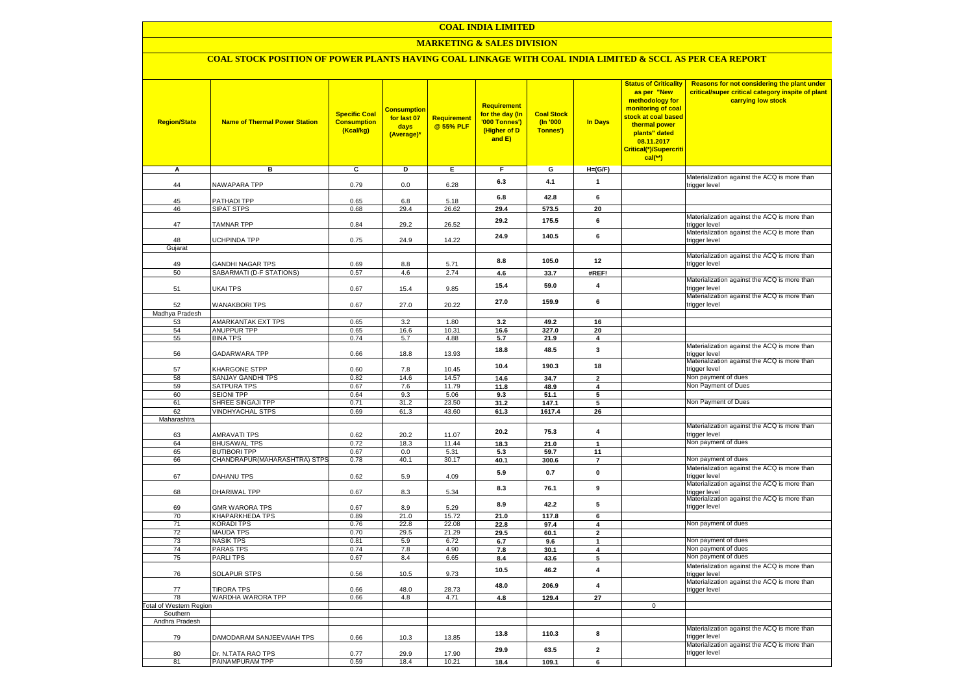### **MARKETING & SALES DIVISION**

### **COAL STOCK POSITION OF POWER PLANTS HAVING COAL LINKAGE WITH COAL INDIA LIMITED & SCCL AS PER CEA REPORT**

| <b>Region/State</b>                | <b>Name of Thermal Power Station</b>     | <b>Specific Coal</b><br><b>Consumption</b><br>(Kcal/kg) | <mark>Consumption</mark><br>for last 07<br>days<br>(Average)* | <b>Requirement</b><br>@ 55% PLF | <b>Requirement</b><br>for the day (In<br>'000 Tonnes')<br>(Higher of D<br>and E) | <b>Coal Stock</b><br>(In '000<br>Tonnes') | <b>In Days</b>                | <b>Status of Criticality</b><br>as per "New<br>methodology for<br>monitoring of coal<br>stock at coal based<br>thermal power<br>plants" dated<br>08.11.2017<br>Critical(*)/Supercriti<br>$cal$ (**) | Reasons for not considering the plant under<br>critical/super critical category inspite of plant<br>carrying low stock |
|------------------------------------|------------------------------------------|---------------------------------------------------------|---------------------------------------------------------------|---------------------------------|----------------------------------------------------------------------------------|-------------------------------------------|-------------------------------|-----------------------------------------------------------------------------------------------------------------------------------------------------------------------------------------------------|------------------------------------------------------------------------------------------------------------------------|
| А                                  | в                                        | c                                                       | Þ                                                             | Е                               | F                                                                                | G                                         | $H=(G/F)$                     |                                                                                                                                                                                                     |                                                                                                                        |
|                                    |                                          |                                                         |                                                               |                                 | 6.3                                                                              | 4.1                                       | $\mathbf{1}$                  |                                                                                                                                                                                                     | Materialization against the ACQ is more than                                                                           |
| 44                                 | <b>NAWAPARA TPP</b>                      | 0.79                                                    | 0.0                                                           | 6.28                            |                                                                                  |                                           |                               |                                                                                                                                                                                                     | trigger level                                                                                                          |
| 45                                 | <b>PATHADI TPP</b>                       | 0.65                                                    | 6.8                                                           | 5.18                            | 6.8                                                                              | 42.8                                      | 6                             |                                                                                                                                                                                                     |                                                                                                                        |
| 46                                 | SIPAT STPS                               | 0.68                                                    | 29.4                                                          | 26.62                           | 29.4                                                                             | 573.5                                     | 20                            |                                                                                                                                                                                                     |                                                                                                                        |
| 47                                 | <b>TAMNAR TPP</b>                        | 0.84                                                    | 29.2                                                          | 26.52                           | 29.2                                                                             | 175.5                                     | 6                             |                                                                                                                                                                                                     | Materialization against the ACQ is more than<br>trigger level                                                          |
| 48                                 | <b>JCHPINDA TPP</b>                      | 0.75                                                    | 24.9                                                          | 14.22                           | 24.9                                                                             | 140.5                                     | 6                             |                                                                                                                                                                                                     | Materialization against the ACQ is more than                                                                           |
| Gujarat                            |                                          |                                                         |                                                               |                                 |                                                                                  |                                           |                               |                                                                                                                                                                                                     | trigger level                                                                                                          |
|                                    |                                          |                                                         |                                                               |                                 | 8.8                                                                              | 105.0                                     | 12                            |                                                                                                                                                                                                     | Materialization against the ACQ is more than                                                                           |
| 49                                 | <b>GANDHI NAGAR TPS</b>                  | 0.69                                                    | 8.8                                                           | 5.71                            |                                                                                  |                                           |                               |                                                                                                                                                                                                     | trigger level                                                                                                          |
| 50                                 | SABARMATI (D-F STATIONS)                 | 0.57                                                    | 4.6                                                           | 2.74                            | 4.6                                                                              | 33.7                                      | #REF!                         |                                                                                                                                                                                                     | Materialization against the ACQ is more than                                                                           |
| 51                                 | UKAI TPS                                 | 0.67                                                    | 15.4                                                          | 9.85                            | 15.4                                                                             | 59.0                                      | $\overline{\mathbf{4}}$       |                                                                                                                                                                                                     | trigger level                                                                                                          |
| 52                                 | <b>WANAKBORI TPS</b>                     | 0.67                                                    | 27.0                                                          | 20.22                           | 27.0                                                                             | 159.9                                     | 6                             |                                                                                                                                                                                                     | Materialization against the ACQ is more than<br>trigger level                                                          |
| Madhya Pradesh                     |                                          |                                                         |                                                               |                                 |                                                                                  |                                           |                               |                                                                                                                                                                                                     |                                                                                                                        |
| 53<br>54                           | AMARKANTAK EXT TPS<br><b>ANUPPUR TPP</b> | 0.65                                                    | 3.2<br>16.6                                                   | 1.80<br>10.31                   | 3.2                                                                              | 49.2                                      | 16                            |                                                                                                                                                                                                     |                                                                                                                        |
| 55                                 | <b>BINA TPS</b>                          | 0.65<br>0.74                                            | 5.7                                                           | 4.88                            | 16.6<br>5.7                                                                      | 327.0<br>21.9                             | 20<br>$\overline{\mathbf{4}}$ |                                                                                                                                                                                                     |                                                                                                                        |
|                                    |                                          |                                                         |                                                               |                                 |                                                                                  |                                           | 3                             |                                                                                                                                                                                                     | Materialization against the ACQ is more than                                                                           |
| 56                                 | GADARWARA TPP                            | 0.66                                                    | 18.8                                                          | 13.93                           | 18.8                                                                             | 48.5                                      |                               |                                                                                                                                                                                                     | trigger level<br>Materialization against the ACQ is more than                                                          |
| 57                                 | KHARGONE STPP                            | 0.60                                                    | 7.8                                                           | 10.45                           | 10.4                                                                             | 190.3                                     | 18                            |                                                                                                                                                                                                     | trigger level                                                                                                          |
| 58                                 | SANJAY GANDHI TPS                        | 0.82                                                    | 14.6                                                          | 14.57                           | 14.6                                                                             | 34.7                                      | $\overline{\mathbf{2}}$       |                                                                                                                                                                                                     | Non payment of dues                                                                                                    |
| 59                                 | SATPURA TPS                              | 0.67                                                    | 7.6                                                           | 11.79                           | 11.8                                                                             | 48.9                                      | 4                             |                                                                                                                                                                                                     | Non Payment of Dues                                                                                                    |
| 60<br>61                           | <b>SEIONI TPP</b><br>SHREE SINGAJI TPP   | 0.64<br>0.71                                            | 9.3<br>31.2                                                   | 5.06<br>23.50                   | 9.3<br>31.2                                                                      | 51.1<br>147.1                             | 5<br>5                        |                                                                                                                                                                                                     | Non Payment of Dues                                                                                                    |
| 62                                 | <b>VINDHYACHAL STPS</b>                  | 0.69                                                    | 61.3                                                          | 43.60                           | 61.3                                                                             | 1617.4                                    | 26                            |                                                                                                                                                                                                     |                                                                                                                        |
| Maharashtra                        |                                          |                                                         |                                                               |                                 |                                                                                  |                                           |                               |                                                                                                                                                                                                     |                                                                                                                        |
|                                    |                                          |                                                         |                                                               |                                 | 20.2                                                                             | 75.3                                      | $\overline{\mathbf{4}}$       |                                                                                                                                                                                                     | Materialization against the ACQ is more than                                                                           |
| 63<br>64                           | AMRAVATI TPS<br><b>BHUSAWAL TPS</b>      | 0.62<br>0.72                                            | 20.2<br>18.3                                                  | 11.07<br>11.44                  | 18.3                                                                             | 21.0                                      | $\blacktriangleleft$          |                                                                                                                                                                                                     | trigger level<br>Non payment of dues                                                                                   |
| 65                                 | <b>BUTIBORI TPP</b>                      | 0.67                                                    | 0.0                                                           | 5.31                            | 5.3                                                                              | 59.7                                      | 11                            |                                                                                                                                                                                                     |                                                                                                                        |
| 66                                 | CHANDRAPUR(MAHARASHTRA) STPS             | 0.78                                                    | 40.1                                                          | 30.17                           | 40.1                                                                             | 300.6                                     | $\overline{7}$                |                                                                                                                                                                                                     | Non payment of dues                                                                                                    |
|                                    |                                          |                                                         |                                                               |                                 | 5.9                                                                              | 0.7                                       | $\pmb{0}$                     |                                                                                                                                                                                                     | Materialization against the ACQ is more than                                                                           |
| 67                                 | DAHANU TPS                               | 0.62                                                    | 5.9                                                           | 4.09                            |                                                                                  |                                           |                               |                                                                                                                                                                                                     | trigger level                                                                                                          |
| 68                                 | DHARIWAL TPP                             | 0.67                                                    | 8.3                                                           | 5.34                            | 8.3                                                                              | 76.1                                      | 9                             |                                                                                                                                                                                                     | Materialization against the ACQ is more than<br>trigger level                                                          |
| 69                                 | <b>GMR WARORA TPS</b>                    | 0.67                                                    | 8.9                                                           | 5.29                            | 8.9                                                                              | 42.2                                      | 5                             |                                                                                                                                                                                                     | Materialization against the ACQ is more than<br>trigger level                                                          |
| 70                                 | KHAPARKHEDA TPS                          | 0.89                                                    | 21.0                                                          | 15.72                           | 21.0                                                                             | 117.8                                     | 6                             |                                                                                                                                                                                                     |                                                                                                                        |
| 71<br>72                           | KORADI TPS<br><b>MAUDA TPS</b>           | 0.76<br>0.70                                            | 22.8<br>29.5                                                  | 22.08<br>21.29                  | 22.8<br>29.5                                                                     | 97.4<br>60.1                              | 4<br>$\mathbf{2}$             |                                                                                                                                                                                                     | Non payment of dues                                                                                                    |
| 73                                 | <b>NASIK TPS</b>                         | 0.81                                                    | 5.9                                                           | 6.72                            | 6.7                                                                              | 9.6                                       | $\mathbf{1}$                  |                                                                                                                                                                                                     | Non payment of dues                                                                                                    |
| 74                                 | <b>PARAS TPS</b>                         | 0.74                                                    | 7.8                                                           | 4.90                            | 7.8                                                                              | 30.1                                      | 4                             |                                                                                                                                                                                                     | Non payment of dues                                                                                                    |
| 75                                 | <b>PARLITPS</b>                          | 0.67                                                    | 8.4                                                           | 6.65                            | 8.4                                                                              | 43.6                                      | 5                             |                                                                                                                                                                                                     | Non payment of dues                                                                                                    |
| 76                                 | <b>SOLAPUR STPS</b>                      | 0.56                                                    | 10.5                                                          | 9.73                            | 10.5                                                                             | 46.2                                      | $\overline{4}$                |                                                                                                                                                                                                     | Materialization against the ACQ is more than<br>trigger level                                                          |
| 77                                 | <b>TIRORA TPS</b>                        | 0.66                                                    | 48.0                                                          | 28.73                           | 48.0                                                                             | 206.9                                     | $\overline{\mathbf{4}}$       |                                                                                                                                                                                                     | Materialization against the ACQ is more than<br>trigger level                                                          |
| 78                                 | WARDHA WARORA TPP                        | 0.66                                                    | 4.8                                                           | 4.71                            | 4.8                                                                              | 129.4                                     | 27                            |                                                                                                                                                                                                     |                                                                                                                        |
| otal of Western Region<br>Southern |                                          |                                                         |                                                               |                                 |                                                                                  |                                           |                               | $\mathbf 0$                                                                                                                                                                                         |                                                                                                                        |
| Andhra Pradesh                     |                                          |                                                         |                                                               |                                 |                                                                                  |                                           |                               |                                                                                                                                                                                                     |                                                                                                                        |
| 79                                 | DAMODARAM SANJEEVAIAH TPS                | 0.66                                                    | 10.3                                                          | 13.85                           | 13.8                                                                             | 110.3                                     | 8                             |                                                                                                                                                                                                     | Materialization against the ACQ is more than<br>trigger level                                                          |
| 80                                 | Dr. N.TATA RAO TPS                       | 0.77                                                    | 29.9                                                          | 17.90                           | 29.9                                                                             | 63.5                                      | $\overline{\mathbf{2}}$       |                                                                                                                                                                                                     | Materialization against the ACQ is more than<br>trigger level                                                          |
| 81                                 | PAINAMPURAM TPP                          | 0.59                                                    | 18.4                                                          | 10.21                           | 18.4                                                                             | 109.1                                     | 6                             |                                                                                                                                                                                                     |                                                                                                                        |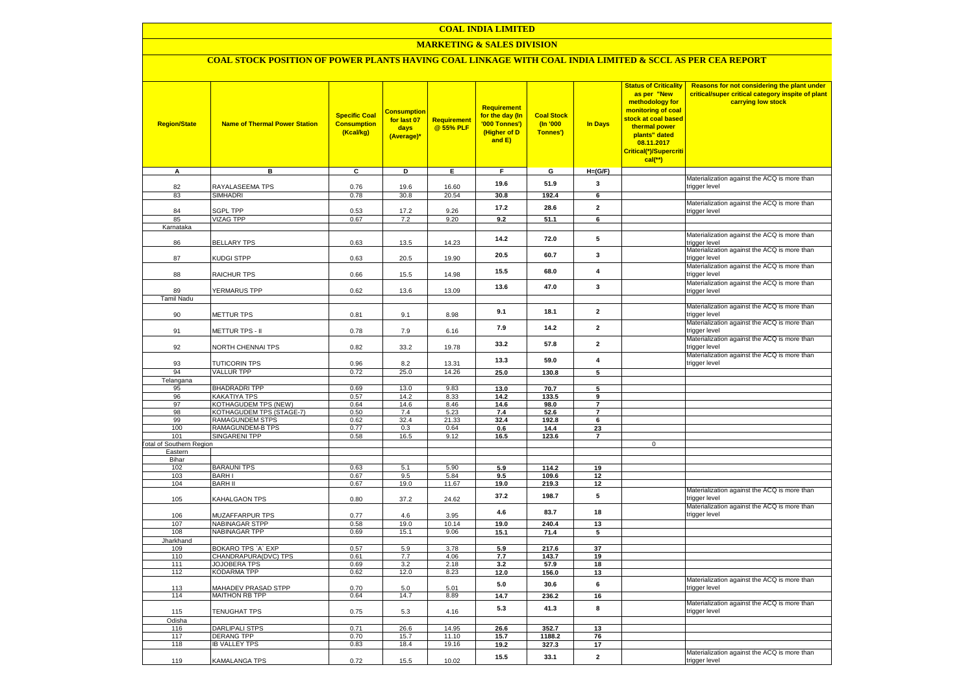### **MARKETING & SALES DIVISION**

# **COAL STOCK POSITION OF POWER PLANTS HAVING COAL LINKAGE WITH COAL INDIA LIMITED & SCCL AS PER CEA REPORT**

| <b>Region/State</b>             | <b>Name of Thermal Power Station</b>               | <b>Specific Coal</b><br><b>Consumption</b><br>(Kcal/kg) | <b>Consumption</b><br>for last 07<br>days<br>(Average)* | <b>Requirement</b><br>@ 55% PLF | <b>Requirement</b><br>for the day (In<br>'000 Tonnes')<br>(Higher of D<br>and E) | <b>Coal Stock</b><br>$($ ln '000<br>Tonnes') | In Days                          | <b>Status of Criticality</b><br>as per "New<br>methodology for<br>monitoring of coal<br>stock at coal based<br>thermal power<br>plants" dated<br>08.11.2017<br>Critical(*)/Supercriti<br>$cal$ (**) | Reasons for not considering the plant under<br>critical/super critical category inspite of plant<br>carrying low stock |
|---------------------------------|----------------------------------------------------|---------------------------------------------------------|---------------------------------------------------------|---------------------------------|----------------------------------------------------------------------------------|----------------------------------------------|----------------------------------|-----------------------------------------------------------------------------------------------------------------------------------------------------------------------------------------------------|------------------------------------------------------------------------------------------------------------------------|
| A                               | в                                                  | c                                                       | D                                                       | Е                               | F.                                                                               | G                                            | $H=(G/F)$                        |                                                                                                                                                                                                     |                                                                                                                        |
| 82                              | RAYALASEEMA TPS                                    | 0.76                                                    | 19.6                                                    | 16.60                           | 19.6                                                                             | 51.9                                         | 3                                |                                                                                                                                                                                                     | Materialization against the ACQ is more than                                                                           |
| 83                              | SIMHADRI                                           | 0.78                                                    | 30.8                                                    | 20.54                           | 30.8                                                                             | 192.4                                        | 6                                |                                                                                                                                                                                                     | trigger level                                                                                                          |
|                                 |                                                    |                                                         |                                                         |                                 |                                                                                  |                                              |                                  |                                                                                                                                                                                                     | Materialization against the ACQ is more than                                                                           |
| 84                              | <b>SGPL TPP</b>                                    | 0.53                                                    | 17.2                                                    | 9.26                            | 17.2                                                                             | 28.6                                         | $\overline{2}$                   |                                                                                                                                                                                                     | trigger level                                                                                                          |
| 85<br>Karnataka                 | <b>VIZAG TPP</b>                                   | 0.67                                                    | 7.2                                                     | 9.20                            | 9.2                                                                              | 51.1                                         | 6                                |                                                                                                                                                                                                     |                                                                                                                        |
|                                 |                                                    |                                                         |                                                         |                                 |                                                                                  |                                              |                                  |                                                                                                                                                                                                     | Materialization against the ACQ is more than                                                                           |
| 86                              | <b>BELLARY TPS</b>                                 | 0.63                                                    | 13.5                                                    | 14.23                           | 14.2                                                                             | 72.0                                         | 5                                |                                                                                                                                                                                                     | trigger level                                                                                                          |
| 87                              | KUDGI STPP                                         | 0.63                                                    | 20.5                                                    | 19.90                           | 20.5                                                                             | 60.7                                         | 3                                |                                                                                                                                                                                                     | Materialization against the ACQ is more than<br>trigger level                                                          |
| 88                              | <b>RAICHUR TPS</b>                                 | 0.66                                                    | 15.5                                                    | 14.98                           | 15.5                                                                             | 68.0                                         | $\overline{4}$                   |                                                                                                                                                                                                     | Materialization against the ACQ is more than<br>trigger level                                                          |
|                                 |                                                    |                                                         |                                                         |                                 | 13.6                                                                             | 47.0                                         | $\mathbf{3}$                     |                                                                                                                                                                                                     | Materialization against the ACQ is more than                                                                           |
| 89<br><b>Tamil Nadu</b>         | <b>YERMARUS TPP</b>                                | 0.62                                                    | 13.6                                                    | 13.09                           |                                                                                  |                                              |                                  |                                                                                                                                                                                                     | trigger level                                                                                                          |
|                                 |                                                    |                                                         |                                                         |                                 |                                                                                  |                                              |                                  |                                                                                                                                                                                                     | Materialization against the ACQ is more than                                                                           |
| 90                              | <b>METTUR TPS</b>                                  | 0.81                                                    | 9.1                                                     | 8.98                            | 9.1                                                                              | 18.1                                         | $\mathbf{2}$                     |                                                                                                                                                                                                     | trigger level                                                                                                          |
| 91                              |                                                    |                                                         |                                                         |                                 | 7.9                                                                              | 14.2                                         | $\mathbf{2}$                     |                                                                                                                                                                                                     | Materialization against the ACQ is more than<br>trigger level                                                          |
|                                 | METTUR TPS - II                                    | 0.78                                                    | 7.9                                                     | 6.16                            | 33.2                                                                             | 57.8                                         | $\overline{2}$                   |                                                                                                                                                                                                     | Materialization against the ACQ is more than                                                                           |
| 92                              | <b>VORTH CHENNAI TPS</b>                           | 0.82                                                    | 33.2                                                    | 19.78                           |                                                                                  |                                              |                                  |                                                                                                                                                                                                     | trigger level                                                                                                          |
| 93                              | <b>TUTICORIN TPS</b>                               | 0.96                                                    | 8.2                                                     | 13.31                           | 13.3                                                                             | 59.0                                         | $\overline{\mathbf{4}}$          |                                                                                                                                                                                                     | Materialization against the ACQ is more than<br>trigger level                                                          |
| 94                              | <b>VALLUR TPP</b>                                  | 0.72                                                    | 25.0                                                    | 14.26                           | 25.0                                                                             | 130.8                                        | 5                                |                                                                                                                                                                                                     |                                                                                                                        |
| Telangana                       |                                                    |                                                         |                                                         |                                 |                                                                                  |                                              |                                  |                                                                                                                                                                                                     |                                                                                                                        |
| 95                              | <b>BHADRADRI TPP</b>                               | 0.69                                                    | 13.0                                                    | 9.83                            | 13.0                                                                             | 70.7                                         | 5                                |                                                                                                                                                                                                     |                                                                                                                        |
| 96                              | KAKATIYA TPS                                       | 0.57                                                    | 14.2                                                    | 8.33                            | 14.2                                                                             | 133.5                                        | $\mathbf{q}$                     |                                                                                                                                                                                                     |                                                                                                                        |
| 97                              | KOTHAGUDEM TPS (NEW)                               | 0.64                                                    | 14.6                                                    | 8.46                            | 14.6                                                                             | 98.0                                         | $\overline{7}$<br>$\overline{7}$ |                                                                                                                                                                                                     |                                                                                                                        |
| 98<br>99                        | KOTHAGUDEM TPS (STAGE-7)<br><b>RAMAGUNDEM STPS</b> | 0.50<br>0.62                                            | 7.4<br>32.4                                             | 5.23<br>21.33                   | 7.4<br>32.4                                                                      | 52.6<br>192.8                                | 6                                |                                                                                                                                                                                                     |                                                                                                                        |
| 100                             | <b>RAMAGUNDEM-B TPS</b>                            | 0.77                                                    | 0.3                                                     | 0.64                            | 0.6                                                                              | 14.4                                         | 23                               |                                                                                                                                                                                                     |                                                                                                                        |
| 101                             | <b>SINGARENI TPP</b>                               | 0.58                                                    | 16.5                                                    | 9.12                            | 16.5                                                                             | 123.6                                        | $\overline{7}$                   |                                                                                                                                                                                                     |                                                                                                                        |
| <b>Fotal of Southern Region</b> |                                                    |                                                         |                                                         |                                 |                                                                                  |                                              |                                  | $\mathbf 0$                                                                                                                                                                                         |                                                                                                                        |
| Eastern                         |                                                    |                                                         |                                                         |                                 |                                                                                  |                                              |                                  |                                                                                                                                                                                                     |                                                                                                                        |
| Bihar                           |                                                    |                                                         |                                                         |                                 |                                                                                  |                                              |                                  |                                                                                                                                                                                                     |                                                                                                                        |
| 102                             | <b>BARAUNI TPS</b><br><b>BARHI</b>                 | 0.63<br>0.67                                            | 5.1<br>9.5                                              | 5.90<br>5.84                    | 5.9<br>9.5                                                                       | 114.2<br>109.6                               | 19<br>12                         |                                                                                                                                                                                                     |                                                                                                                        |
| 103<br>104                      | <b>BARH II</b>                                     | 0.67                                                    | 19.0                                                    | 11.67                           | 19.0                                                                             | 219.3                                        | 12                               |                                                                                                                                                                                                     |                                                                                                                        |
|                                 |                                                    |                                                         |                                                         |                                 |                                                                                  |                                              |                                  |                                                                                                                                                                                                     | Materialization against the ACQ is more than                                                                           |
| 105                             | KAHALGAON TPS                                      | 0.80                                                    | 37.2                                                    | 24.62                           | 37.2                                                                             | 198.7                                        | 5                                |                                                                                                                                                                                                     | trigger level<br>Materialization against the ACQ is more than                                                          |
| 106                             | MUZAFFARPUR TPS                                    | 0.77                                                    | 4.6                                                     | 3.95                            | 4.6                                                                              | 83.7                                         | 18                               |                                                                                                                                                                                                     | trigger level                                                                                                          |
| 107                             | <b>NABINAGAR STPP</b>                              | 0.58                                                    | 19.0                                                    | 10.14                           | 19.0                                                                             | 240.4                                        | 13                               |                                                                                                                                                                                                     |                                                                                                                        |
| 108                             | <b>NABINAGAR TPP</b>                               | 0.69                                                    | 15.1                                                    | 9.06                            | 15.1                                                                             | 71.4                                         | 5                                |                                                                                                                                                                                                     |                                                                                                                        |
| Jharkhand                       | BOKARO TPS `A` EXP                                 | 0.57                                                    | 5.9                                                     | 3.78                            | 5.9                                                                              | 217.6                                        | 37                               |                                                                                                                                                                                                     |                                                                                                                        |
| 109<br>110                      | CHANDRAPURA(DVC) TPS                               | 0.61                                                    | 7.7                                                     | 4.06                            | 7.7                                                                              | 143.7                                        | 19                               |                                                                                                                                                                                                     |                                                                                                                        |
| 111                             | <b>JOJOBERA TPS</b>                                | 0.69                                                    | 3.2                                                     | 2.18                            | 3.2                                                                              | 57.9                                         | 18                               |                                                                                                                                                                                                     |                                                                                                                        |
| 112                             | KODARMA TPP                                        | 0.62                                                    | 12.0                                                    | 8.23                            | 12.0                                                                             | 156.0                                        | 13                               |                                                                                                                                                                                                     |                                                                                                                        |
| 113                             | <b>MAHADEV PRASAD STPP</b>                         | 0.70                                                    | 5.0                                                     | 5.01                            | 5.0                                                                              | 30.6                                         | 6                                |                                                                                                                                                                                                     | Materialization against the ACQ is more than<br>trigger level                                                          |
| 114                             | <b>MAITHON RB TPP</b>                              | 0.64                                                    | 14.7                                                    | 8.89                            | 14.7                                                                             | 236.2                                        | 16                               |                                                                                                                                                                                                     |                                                                                                                        |
| 115                             | TENUGHAT TPS                                       | 0.75                                                    | 5.3                                                     | 4.16                            | 5.3                                                                              | 41.3                                         | 8                                |                                                                                                                                                                                                     | Materialization against the ACQ is more than<br>trigger level                                                          |
| Odisha                          |                                                    |                                                         |                                                         |                                 |                                                                                  |                                              |                                  |                                                                                                                                                                                                     |                                                                                                                        |
| 116                             | <b>DARLIPALI STPS</b>                              | 0.71                                                    | 26.6                                                    | 14.95                           | 26.6                                                                             | 352.7                                        | 13                               |                                                                                                                                                                                                     |                                                                                                                        |
| 117                             | <b>DERANG TPP</b>                                  | 0.70                                                    | 15.7                                                    | 11.10                           | 15.7                                                                             | 1188.2                                       | 76                               |                                                                                                                                                                                                     |                                                                                                                        |
| 118                             | <b>IB VALLEY TPS</b>                               | 0.83                                                    | 18.4                                                    | 19.16                           | 19.2                                                                             | 327.3                                        | 17                               |                                                                                                                                                                                                     | Materialization against the ACQ is more than                                                                           |
| 119                             | KAMALANGA TPS                                      | 0.72                                                    | 15.5                                                    | 10.02                           | 15.5                                                                             | 33.1                                         | $\mathbf{2}$                     |                                                                                                                                                                                                     | trigger level                                                                                                          |